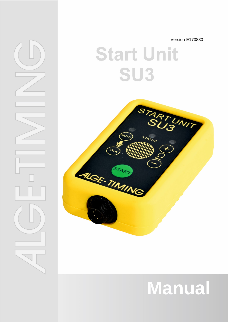Version-E170830

# **Start Unit** SU3



# **Manual**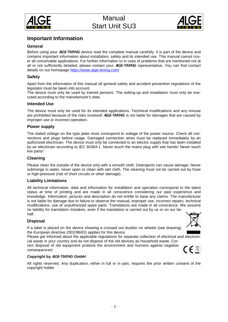



## **Important Information**

### **General**

Before using your ALGE-TIMING device read the complete manual carefully. It is part of the device and contains important information about installation, safety and its intended use. This manual cannot cover all conceivable applications. For further information or in case of problems that are mentioned not at all or not sufficiently detailed, please contact your ALGE-TIMING representative. You can find contact details on our homepage<https://www.alge-timing.com/>

### **Safety**

Apart from the information of this manual all general safety and accident prevention regulations of the legislator must be taken into account.

The device must only be used by trained persons. The setting-up and installation must only be executed according to the manufacturer's data.

#### **Intended Use**

The device must only be used for its intended applications. Technical modifications and any misuse are prohibited because of the risks involved! ALGE-TIMING is not liable for damages that are caused by improper use or incorrect operation.

#### **Power supply**

The stated voltage on the type plate must correspond to voltage of the power source. Check all connections and plugs before usage. Damaged connection wires must be replaced immediately by an authorized electrician. The device must only be connected to an electric supply that has been installed by an electrician according to IEC 60364-1. Never touch the mains plug with wet hands! Never touch live parts!

#### **Cleaning**

Please clean the outside of the device only with a smooth cloth. Detergents can cause damage. Never submerge in water, never open or clean with wet cloth. The cleaning must not be carried out by hose or high-pressure (risk of short circuits or other damage).

#### **Liability Limitations**

All technical information, data and information for installation and operation correspond to the latest status at time of printing and are made in all conscience considering our past experience and knowledge. Information, pictures and description do not entitle to base any claims. The manufacturer is not liable for damage due to failure to observe the manual, improper use, incorrect repairs, technical modifications, use of unauthorized spare parts. Translations are made in all conscience. We assume no liability for translation mistakes, even if the translation is carried out by us or on our behalf.

#### **Disposal**

If a label is placed on the device showing a crossed out dustbin on wheels (see drawing), the European directive 2002/96/EG applies for this device.

Please get informed about the applicable regulations for separate collection of electrical and electronical waste in your country and do not dispose of the old devices as household waste. Cor-

rect disposal of old equipment protects the environment and humans against negative consequences!

#### **Copyright by** ALGE-TIMING **GmbH**

All rights reserved. Any duplication, either in full or in part, requires the prior written consent of the copyright holder.

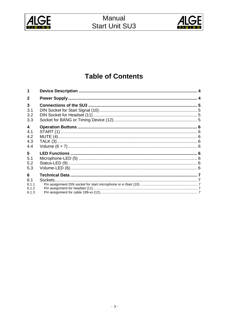



# **Table of Contents**

| 1                       |  |
|-------------------------|--|
| $\mathbf{2}$            |  |
| 3                       |  |
| 3.1                     |  |
| 3.2<br>3.3              |  |
|                         |  |
| $\overline{\mathbf{4}}$ |  |
| 4.1                     |  |
| 4.2                     |  |
| 4.3                     |  |
| 4.4                     |  |
| 5                       |  |
| 5.1                     |  |
| 5.2                     |  |
| 5.3                     |  |
| 6                       |  |
| 6.1                     |  |
| 6.1.1                   |  |
| 6.1.2                   |  |
| 6.1.3                   |  |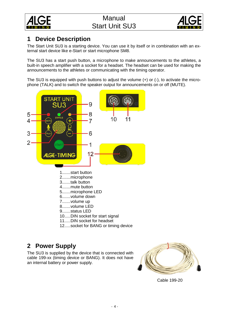



# <span id="page-3-0"></span>**1 Device Description**

The Start Unit SU3 is a starting device. You can use it by itself or in combination with an external start device like e-Start or start microphone SM8.

The SU3 has a start push button, a microphone to make announcements to the athletes, a built-in speech amplifier with a socket for a headset. The headset can be used for making the announcements to the athletes or communicating with the timing operator.

The SU3 is equipped with push buttons to adjust the volume (+) or (-), to activate the microphone (TALK) and to switch the speaker output for announcements on or off (MUTE).



1.......start button 2.......microphone 3.......talk button 4.......mute button 5.......microphone LED 6.......volume down 7.......volume up 8.......volume LED 9.......status LED 10.....DIN socket for start signal 11.....DIN socket for headset 12.....socket for BANG or timing device

# <span id="page-3-1"></span>**2 Power Supply**

The SU3 is supplied by the device that is connected with cable 199-xx (timing device or BANG). It does not have an internal battery or power supply.



Cable 199-20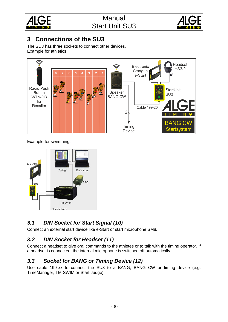



# <span id="page-4-0"></span>**3 Connections of the SU3**

The SU3 has three sockets to connect other devices. Example for athletics:



Example for swimming:



# <span id="page-4-1"></span>*3.1 DIN Socket for Start Signal (10)*

Connect an external start device like e-Start or start microphone SM8.

# <span id="page-4-2"></span>*3.2 DIN Socket for Headset (11)*

Connect a headset to give oral commands to the athletes or to talk with the timing operator. If a headset is connected, the internal microphone is switched off automatically.

# <span id="page-4-3"></span>*3.3 Socket for BANG or Timing Device (12)*

Use cable 199-xx to connect the SU3 to a BANG, BANG CW or timing device (e.g. TimeManager, TM-SWIM or Start Judge).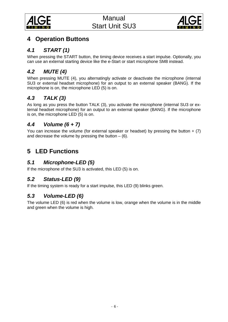



# <span id="page-5-0"></span>**4 Operation Buttons**

# <span id="page-5-1"></span>*4.1 START (1)*

When pressing the START button, the timing device receives a start impulse. Optionally, you can use an external starting device like the e-Start or start microphone SM8 instead.

# <span id="page-5-2"></span>*4.2 MUTE (4)*

When pressing MUTE (4), you alternatingly activate or deactivate the microphone (internal SU3 or external headset microphone) for an output to an external speaker (BANG). If the microphone is on, the microphone LED (5) is on.

# <span id="page-5-3"></span>*4.3 TALK (3)*

As long as you press the button TALK (3), you activate the microphone (internal SU3 or external headset microphone) for an output to an external speaker (BANG). If the microphone is on, the microphone LED (5) is on.

# <span id="page-5-4"></span>*4.4 Volume (6 + 7)*

You can increase the volume (for external speaker or headset) by pressing the button  $+$  (7) and decrease the volume by pressing the button  $-$  (6).

# <span id="page-5-5"></span>**5 LED Functions**

# <span id="page-5-6"></span>*5.1 Microphone-LED (5)*

If the microphone of the SU3 is activated, this LED (5) is on.

# <span id="page-5-7"></span>*5.2 Status-LED (9)*

<span id="page-5-8"></span>If the timing system is ready for a start impulse, this LED (9) blinks green.

# *5.3 Volume-LED (6)*

The volume LED (6) is red when the volume is low, orange when the volume is in the middle and green when the volume is high.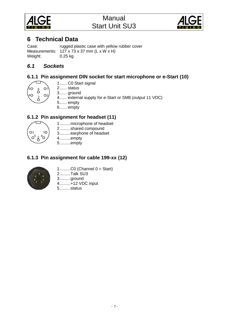



# <span id="page-6-0"></span>**6 Technical Data**

Case: rugged plastic case with yellow rubber cover Measurements:  $127 \times 73 \times 37$  mm (L x W  $\times$  H) Weight: 0.25 kg

## <span id="page-6-1"></span>*6.1 Sockets*

## <span id="page-6-2"></span>**6.1.1 Pin assignment DIN socket for start microphone or e-Start (10)**



1...... C0 Start signal

- 2...... status
- 3...... ground
- 4...... external supply for e-Start or SM8 (output 11 VDC)
- 5...... empty 6...... empty

## <span id="page-6-3"></span>**6.1.2 Pin assignment for headset (11)**



1.........microphone of headset 2.........shared compound 3.........earphone of headset

4.........empty 5.........empty

## <span id="page-6-4"></span>**6.1.3 Pin assignment for cable 199-xx (12)**



1.........C0 (Channel 0 = Start)

- 2.........Talk SU3
- 3.........ground

4.........+12 VDC input

5.........status